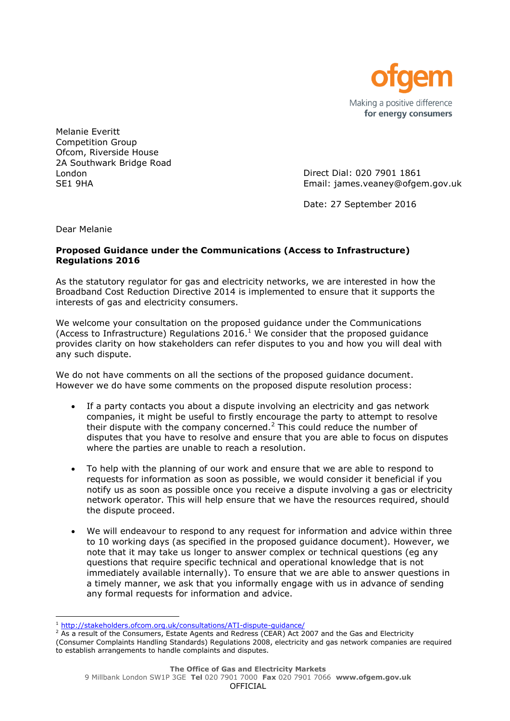

Melanie Everitt Competition Group Ofcom, Riverside House 2A Southwark Bridge Road London SE1 9HA

Direct Dial: 020 7901 1861 Email: james.veaney@ofgem.gov.uk

Date: 27 September 2016

Dear Melanie

l

## **Proposed Guidance under the Communications (Access to Infrastructure) Regulations 2016**

As the statutory regulator for gas and electricity networks, we are interested in how the Broadband Cost Reduction Directive 2014 is implemented to ensure that it supports the interests of gas and electricity consumers.

We welcome your consultation on the proposed guidance under the Communications (Access to Infrastructure) Regulations  $2016<sup>1</sup>$  We consider that the proposed guidance provides clarity on how stakeholders can refer disputes to you and how you will deal with any such dispute.

We do not have comments on all the sections of the proposed guidance document. However we do have some comments on the proposed dispute resolution process:

- If a party contacts you about a dispute involving an electricity and gas network companies, it might be useful to firstly encourage the party to attempt to resolve their dispute with the company concerned.<sup>2</sup> This could reduce the number of disputes that you have to resolve and ensure that you are able to focus on disputes where the parties are unable to reach a resolution.
- To help with the planning of our work and ensure that we are able to respond to requests for information as soon as possible, we would consider it beneficial if you notify us as soon as possible once you receive a dispute involving a gas or electricity network operator. This will help ensure that we have the resources required, should the dispute proceed.
- We will endeavour to respond to any request for information and advice within three to 10 working days (as specified in the proposed guidance document). However, we note that it may take us longer to answer complex or technical questions (eg any questions that require specific technical and operational knowledge that is not immediately available internally). To ensure that we are able to answer questions in a timely manner, we ask that you informally engage with us in advance of sending any formal requests for information and advice.

<sup>1</sup> <http://stakeholders.ofcom.org.uk/consultations/ATI-dispute-guidance/>

 $\frac{2}{1}$  As a result of the Consumers, Estate Agents and Redress (CEAR) Act 2007 and the Gas and Electricity (Consumer Complaints Handling Standards) Regulations 2008, electricity and gas network companies are required to establish arrangements to handle complaints and disputes.